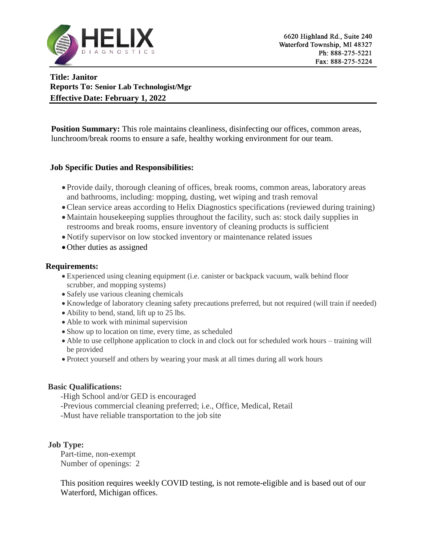

**Title: Janitor Reports To: Senior Lab Technologist/Mgr Effective Date: February 1, 2022**

**Position Summary:** This role maintains cleanliness, disinfecting our offices, common areas, lunchroom/break rooms to ensure a safe, healthy working environment for our team.

## **Job Specific Duties and Responsibilities:**

- Provide daily, thorough cleaning of offices, break rooms, common areas, laboratory areas and bathrooms, including: mopping, dusting, wet wiping and trash removal
- Clean service areas according to Helix Diagnostics specifications (reviewed during training)
- Maintain housekeeping supplies throughout the facility, such as: stock daily supplies in restrooms and break rooms, ensure inventory of cleaning products is sufficient
- Notify supervisor on low stocked inventory or maintenance related issues
- Other duties as assigned

# **Requirements:**

- Experienced using cleaning equipment (i.e. canister or backpack vacuum, walk behind floor scrubber, and mopping systems)
- Safely use various cleaning chemicals
- Knowledge of laboratory cleaning safety precautions preferred, but not required (will train if needed)
- Ability to bend, stand, lift up to 25 lbs.
- Able to work with minimal supervision
- Show up to location on time, every time, as scheduled
- Able to use cellphone application to clock in and clock out for scheduled work hours training will be provided
- Protect yourself and others by wearing your mask at all times during all work hours

## **Basic Qualifications:**

- -High School and/or GED is encouraged
- -Previous commercial cleaning preferred; i.e., Office, Medical, Retail
- -Must have reliable transportation to the job site

## **Job Type:**

Part-time, non-exempt Number of openings: 2

This position requires weekly COVID testing, is not remote-eligible and is based out of our Waterford, Michigan offices.